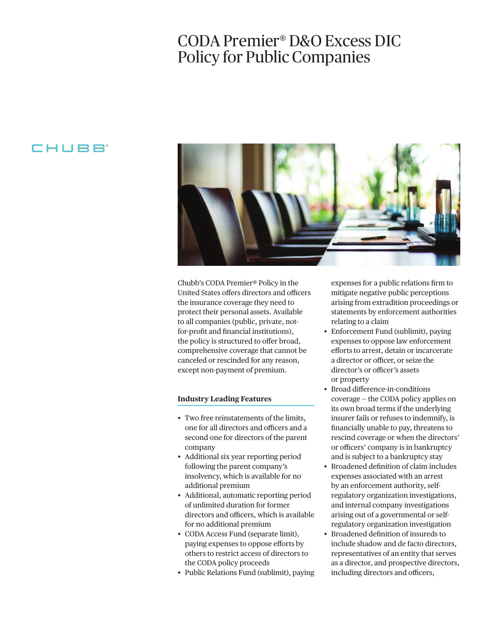## CODA Premier® D&O Excess DIC Policy for Public Companies

### CHUBB<sup>®</sup>



Chubb's CODA Premier® Policy in the United States offers directors and officers the insurance coverage they need to protect their personal assets. Available to all companies (public, private, notfor-proft and fnancial institutions), the policy is structured to offer broad, comprehensive coverage that cannot be canceled or rescinded for any reason, except non-payment of premium.

#### **Industry Leading Features**

- Two free reinstatements of the limits, one for all directors and officers and a second one for directors of the parent company
- Additional six year reporting period following the parent company's insolvency, which is available for no additional premium
- Additional, automatic reporting period of unlimited duration for former directors and officers, which is available for no additional premium
- CODA Access Fund (separate limit), paying expenses to oppose eforts by others to restrict access of directors to the CODA policy proceeds
- Public Relations Fund (sublimit), paying

expenses for a public relations frm to mitigate negative public perceptions arising from extradition proceedings or statements by enforcement authorities relating to a claim

- Enforcement Fund (sublimit), paying expenses to oppose law enforcement eforts to arrest, detain or incarcerate a director or officer, or seize the director's or officer's assets or property
- Broad diference-in-conditions coverage — the CODA policy applies on its own broad terms if the underlying insurer fails or refuses to indemnify, is fnancially unable to pay, threatens to rescind coverage or when the directors' or officers' company is in bankruptcy and is subject to a bankruptcy stay
- Broadened defnition of claim includes expenses associated with an arrest by an enforcement authority, selfregulatory organization investigations, and internal company investigations arising out of a governmental or selfregulatory organization investigation
- Broadened defnition of insureds to include shadow and de facto directors, representatives of an entity that serves as a director, and prospective directors, including directors and officers,